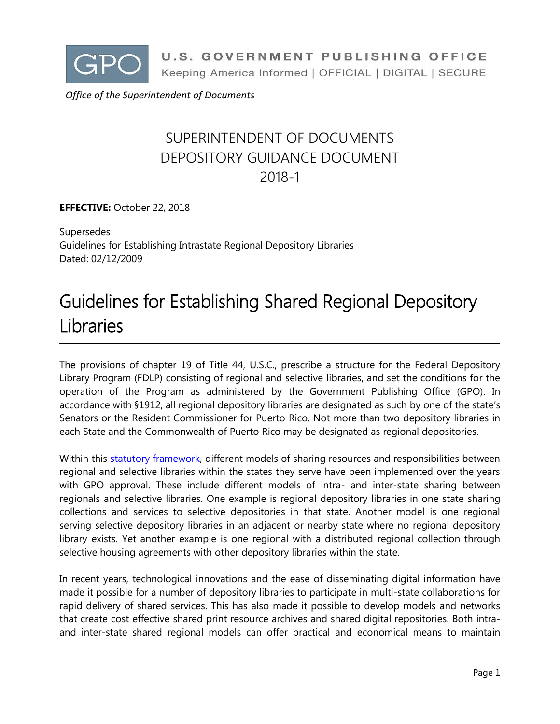

 *Office of the Superintendent of Documents*

# SUPERINTENDENT OF DOCUMENTS DEPOSITORY GUIDANCE DOCUMENT 2018-1

**EFFECTIVE:** October 22, 2018

**Supersedes** Guidelines for Establishing Intrastate Regional Depository Libraries Dated: 02/12/2009

# Guidelines for Establishing Shared Regional Depository Libraries

The provisions of chapter 19 of Title 44, U.S.C., prescribe a structure for the Federal Depository Library Program (FDLP) consisting of regional and selective libraries, and set the conditions for the operation of the Program as administered by the Government Publishing Office (GPO). In accordance with §1912, all regional depository libraries are designated as such by one of the state's Senators or the Resident Commissioner for Puerto Rico. Not more than two depository libraries in each State and the Commonwealth of Puerto Rico may be designated as regional depositories.

Within this [statutory framework,](https://www.govinfo.gov/content/pkg/USCODE-2017-title44/pdf/USCODE-2017-title44-chap19-sec1912.pdf) different models of sharing resources and responsibilities between regional and selective libraries within the states they serve have been implemented over the years with GPO approval. These include different models of intra- and inter-state sharing between regionals and selective libraries. One example is regional depository libraries in one state sharing collections and services to selective depositories in that state. Another model is one regional serving selective depository libraries in an adjacent or nearby state where no regional depository library exists. Yet another example is one regional with a distributed regional collection through selective housing agreements with other depository libraries within the state.

In recent years, technological innovations and the ease of disseminating digital information have made it possible for a number of depository libraries to participate in multi-state collaborations for rapid delivery of shared services. This has also made it possible to develop models and networks that create cost effective shared print resource archives and shared digital repositories. Both intraand inter-state shared regional models can offer practical and economical means to maintain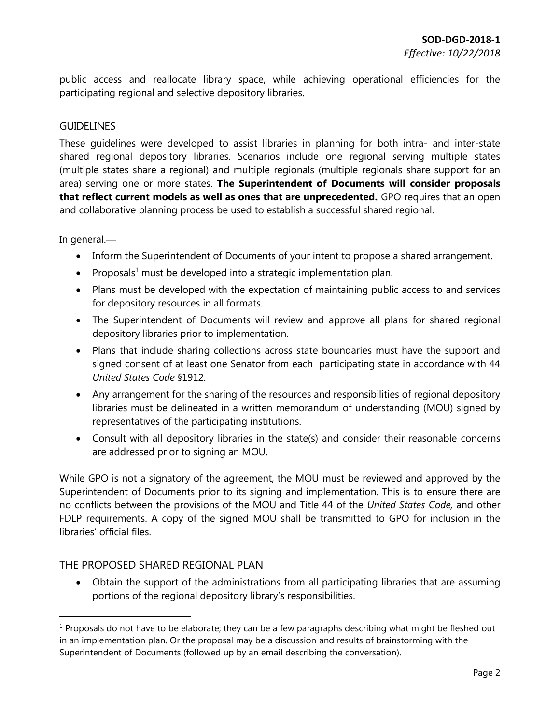public access and reallocate library space, while achieving operational efficiencies for the participating regional and selective depository libraries.

### **GUIDELINES**

These guidelines were developed to assist libraries in planning for both intra- and inter-state shared regional depository libraries. Scenarios include one regional serving multiple states (multiple states share a regional) and multiple regionals (multiple regionals share support for an area) serving one or more states. **The Superintendent of Documents will consider proposals that reflect current models as well as ones that are unprecedented.** GPO requires that an open and collaborative planning process be used to establish a successful shared regional.

In general.—

 $\overline{a}$ 

- Inform the Superintendent of Documents of your intent to propose a shared arrangement.
- Proposals<sup>1</sup> must be developed into a strategic implementation plan.
- Plans must be developed with the expectation of maintaining public access to and services for depository resources in all formats.
- The Superintendent of Documents will review and approve all plans for shared regional depository libraries prior to implementation.
- Plans that include sharing collections across state boundaries must have the support and signed consent of at least one Senator from each participating state in accordance with 44 *United States Code* §1912.
- Any arrangement for the sharing of the resources and responsibilities of regional depository libraries must be delineated in a written memorandum of understanding (MOU) signed by representatives of the participating institutions.
- Consult with all depository libraries in the state(s) and consider their reasonable concerns are addressed prior to signing an MOU.

While GPO is not a signatory of the agreement, the MOU must be reviewed and approved by the Superintendent of Documents prior to its signing and implementation. This is to ensure there are no conflicts between the provisions of the MOU and Title 44 of the *United States Code,* and other FDLP requirements. A copy of the signed MOU shall be transmitted to GPO for inclusion in the libraries' official files.

#### THE PROPOSED SHARED REGIONAL PLAN

 Obtain the support of the administrations from all participating libraries that are assuming portions of the regional depository library's responsibilities.

 $1$  Proposals do not have to be elaborate; they can be a few paragraphs describing what might be fleshed out in an implementation plan. Or the proposal may be a discussion and results of brainstorming with the Superintendent of Documents (followed up by an email describing the conversation).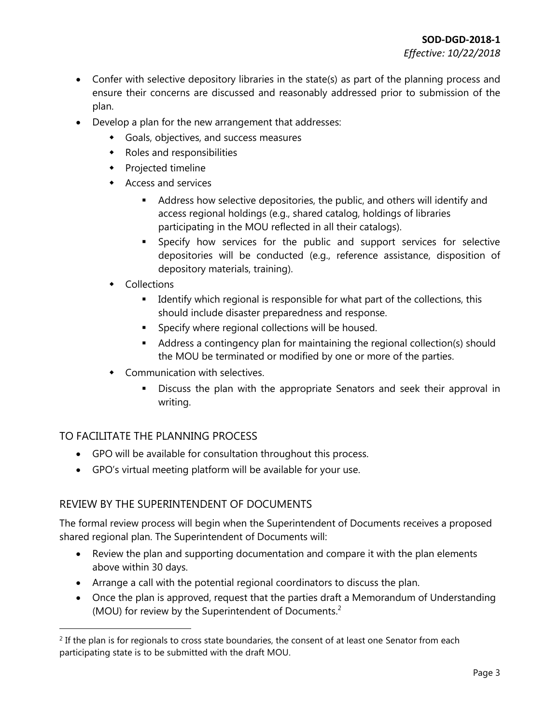- Confer with selective depository libraries in the state(s) as part of the planning process and ensure their concerns are discussed and reasonably addressed prior to submission of the plan.
- Develop a plan for the new arrangement that addresses:
	- Goals, objectives, and success measures
	- Roles and responsibilities
	- **\*** Projected timeline
	- Access and services
		- Address how selective depositories, the public, and others will identify and access regional holdings (e.g., shared catalog, holdings of libraries participating in the MOU reflected in all their catalogs).
		- Specify how services for the public and support services for selective depositories will be conducted (e.g., reference assistance, disposition of depository materials, training).
	- Collections
		- Identify which regional is responsible for what part of the collections, this should include disaster preparedness and response.
		- **Specify where regional collections will be housed.**
		- Address a contingency plan for maintaining the regional collection(s) should the MOU be terminated or modified by one or more of the parties.
	- Communication with selectives.
		- Discuss the plan with the appropriate Senators and seek their approval in writing.

# TO FACILITATE THE PLANNING PROCESS

 $\overline{a}$ 

- GPO will be available for consultation throughout this process.
- GPO's virtual meeting platform will be available for your use.

# REVIEW BY THE SUPERINTENDENT OF DOCUMENTS

The formal review process will begin when the Superintendent of Documents receives a proposed shared regional plan. The Superintendent of Documents will:

- Review the plan and supporting documentation and compare it with the plan elements above within 30 days.
- Arrange a call with the potential regional coordinators to discuss the plan.
- Once the plan is approved, request that the parties draft a Memorandum of Understanding (MOU) for review by the Superintendent of Documents. 2

 $2$  If the plan is for regionals to cross state boundaries, the consent of at least one Senator from each participating state is to be submitted with the draft MOU.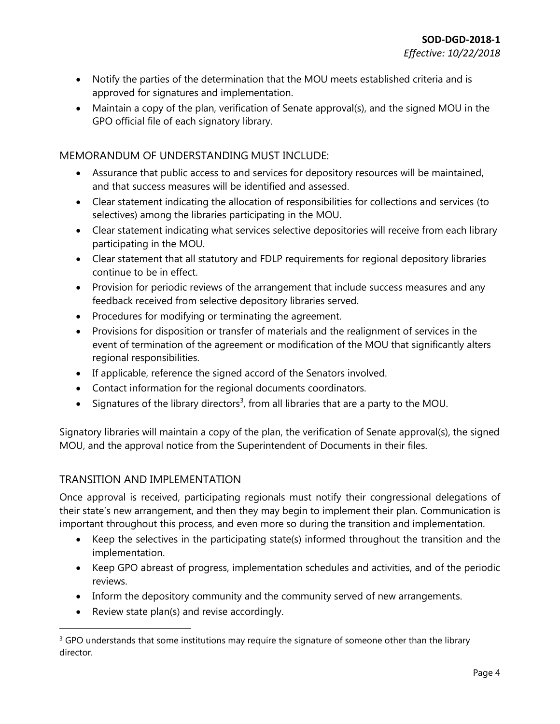- Notify the parties of the determination that the MOU meets established criteria and is approved for signatures and implementation.
- Maintain a copy of the plan, verification of Senate approval(s), and the signed MOU in the GPO official file of each signatory library.

## MEMORANDUM OF UNDERSTANDING MUST INCLUDE:

- Assurance that public access to and services for depository resources will be maintained, and that success measures will be identified and assessed.
- Clear statement indicating the allocation of responsibilities for collections and services (to selectives) among the libraries participating in the MOU.
- Clear statement indicating what services selective depositories will receive from each library participating in the MOU.
- Clear statement that all statutory and FDLP requirements for regional depository libraries continue to be in effect.
- Provision for periodic reviews of the arrangement that include success measures and any feedback received from selective depository libraries served.
- Procedures for modifying or terminating the agreement.
- Provisions for disposition or transfer of materials and the realignment of services in the event of termination of the agreement or modification of the MOU that significantly alters regional responsibilities.
- If applicable, reference the signed accord of the Senators involved.
- Contact information for the regional documents coordinators.
- $\bullet$  Signatures of the library directors<sup>3</sup>, from all libraries that are a party to the MOU.

Signatory libraries will maintain a copy of the plan, the verification of Senate approval(s), the signed MOU, and the approval notice from the Superintendent of Documents in their files.

#### TRANSITION AND IMPLEMENTATION

 $\overline{a}$ 

Once approval is received, participating regionals must notify their congressional delegations of their state's new arrangement, and then they may begin to implement their plan. Communication is important throughout this process, and even more so during the transition and implementation.

- Keep the selectives in the participating state(s) informed throughout the transition and the implementation.
- Keep GPO abreast of progress, implementation schedules and activities, and of the periodic reviews.
- Inform the depository community and the community served of new arrangements.
- Review state plan(s) and revise accordingly.

 $3$  GPO understands that some institutions may require the signature of someone other than the library director.